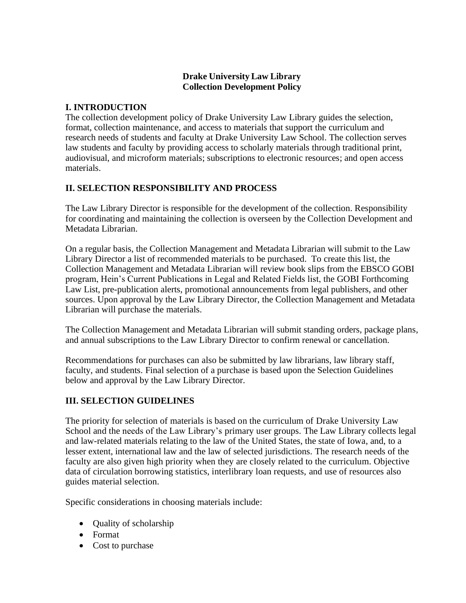## **Drake University Law Library Collection Development Policy**

## **I. INTRODUCTION**

The collection development policy of Drake University Law Library guides the selection, format, collection maintenance, and access to materials that support the curriculum and research needs of students and faculty at Drake University Law School. The collection serves law students and faculty by providing access to scholarly materials through traditional print, audiovisual, and microform materials; subscriptions to electronic resources; and open access materials.

## **II. SELECTION RESPONSIBILITY AND PROCESS**

The Law Library Director is responsible for the development of the collection. Responsibility for coordinating and maintaining the collection is overseen by the Collection Development and Metadata Librarian.

On a regular basis, the Collection Management and Metadata Librarian will submit to the Law Library Director a list of recommended materials to be purchased. To create this list, the Collection Management and Metadata Librarian will review book slips from the EBSCO GOBI program, Hein's Current Publications in Legal and Related Fields list, the GOBI Forthcoming Law List, pre-publication alerts, promotional announcements from legal publishers, and other sources. Upon approval by the Law Library Director, the Collection Management and Metadata Librarian will purchase the materials.

The Collection Management and Metadata Librarian will submit standing orders, package plans, and annual subscriptions to the Law Library Director to confirm renewal or cancellation.

Recommendations for purchases can also be submitted by law librarians, law library staff, faculty, and students. Final selection of a purchase is based upon the Selection Guidelines below and approval by the Law Library Director.

## **III. SELECTION GUIDELINES**

The priority for selection of materials is based on the curriculum of Drake University Law School and the needs of the Law Library's primary user groups. The Law Library collects legal and law-related materials relating to the law of the United States, the state of Iowa, and, to a lesser extent, international law and the law of selected jurisdictions. The research needs of the faculty are also given high priority when they are closely related to the curriculum. Objective data of circulation borrowing statistics, interlibrary loan requests, and use of resources also guides material selection.

Specific considerations in choosing materials include:

- Quality of scholarship
- Format
- Cost to purchase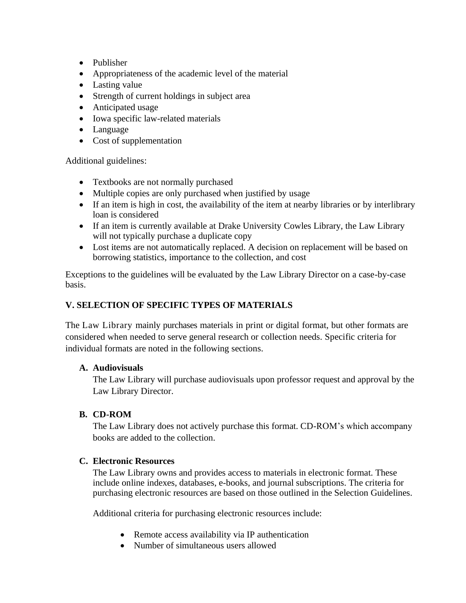- Publisher
- Appropriateness of the academic level of the material
- Lasting value
- Strength of current holdings in subject area
- Anticipated usage
- Iowa specific law-related materials
- Language
- Cost of supplementation

Additional guidelines:

- Textbooks are not normally purchased
- Multiple copies are only purchased when justified by usage
- If an item is high in cost, the availability of the item at nearby libraries or by interlibrary loan is considered
- If an item is currently available at Drake University Cowles Library, the Law Library will not typically purchase a duplicate copy
- Lost items are not automatically replaced. A decision on replacement will be based on borrowing statistics, importance to the collection, and cost

Exceptions to the guidelines will be evaluated by the Law Library Director on a case-by-case basis.

# **V. SELECTION OF SPECIFIC TYPES OF MATERIALS**

The Law Library mainly purchases materials in print or digital format, but other formats are considered when needed to serve general research or collection needs. Specific criteria for individual formats are noted in the following sections.

## **A. Audiovisuals**

The Law Library will purchase audiovisuals upon professor request and approval by the Law Library Director.

# **B. CD-ROM**

The Law Library does not actively purchase this format. CD-ROM's which accompany books are added to the collection.

## **C. Electronic Resources**

The Law Library owns and provides access to materials in electronic format. These include online indexes, databases, e-books, and journal subscriptions. The criteria for purchasing electronic resources are based on those outlined in the Selection Guidelines.

Additional criteria for purchasing electronic resources include:

- Remote access availability via IP authentication
- Number of simultaneous users allowed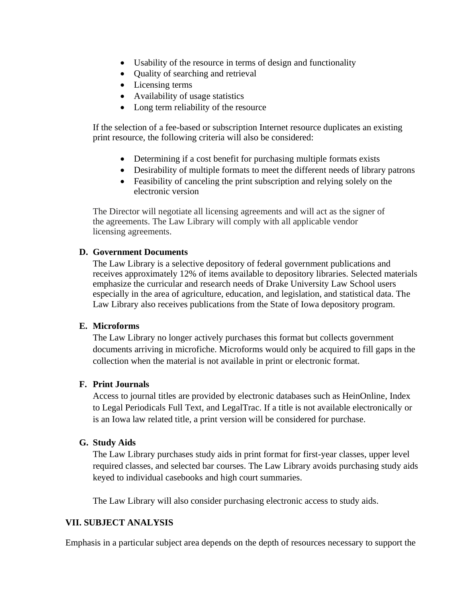- Usability of the resource in terms of design and functionality
- Ouality of searching and retrieval
- Licensing terms
- Availability of usage statistics
- Long term reliability of the resource

If the selection of a fee-based or subscription Internet resource duplicates an existing print resource, the following criteria will also be considered:

- Determining if a cost benefit for purchasing multiple formats exists
- Desirability of multiple formats to meet the different needs of library patrons
- Feasibility of canceling the print subscription and relying solely on the electronic version

The Director will negotiate all licensing agreements and will act as the signer of the agreements. The Law Library will comply with all applicable vendor licensing agreements.

#### **D. Government Documents**

The Law Library is a selective depository of federal government publications and receives approximately 12% of items available to depository libraries. Selected materials emphasize the curricular and research needs of Drake University Law School users especially in the area of agriculture, education, and legislation, and statistical data. The Law Library also receives publications from the State of Iowa depository program.

## **E. Microforms**

The Law Library no longer actively purchases this format but collects government documents arriving in microfiche. Microforms would only be acquired to fill gaps in the collection when the material is not available in print or electronic format.

#### **F. Print Journals**

Access to journal titles are provided by electronic databases such as HeinOnline, Index to Legal Periodicals Full Text, and LegalTrac. If a title is not available electronically or is an Iowa law related title, a print version will be considered for purchase.

#### **G. Study Aids**

The Law Library purchases study aids in print format for first-year classes, upper level required classes, and selected bar courses. The Law Library avoids purchasing study aids keyed to individual casebooks and high court summaries.

The Law Library will also consider purchasing electronic access to study aids.

#### **VII. SUBJECT ANALYSIS**

Emphasis in a particular subject area depends on the depth of resources necessary to support the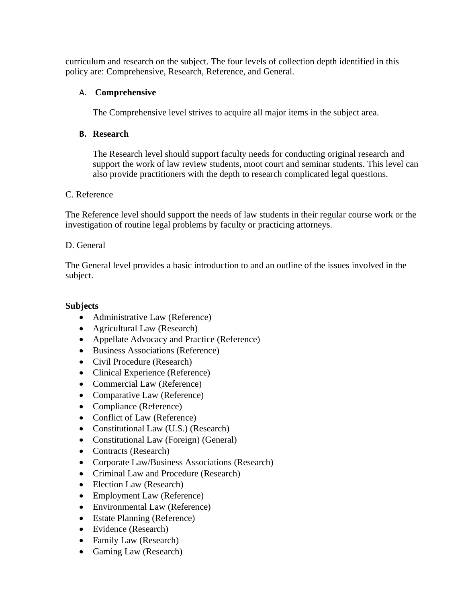curriculum and research on the subject. The four levels of collection depth identified in this policy are: Comprehensive, Research, Reference, and General.

## A. **Comprehensive**

The Comprehensive level strives to acquire all major items in the subject area.

### **B. Research**

The Research level should support faculty needs for conducting original research and support the work of law review students, moot court and seminar students. This level can also provide practitioners with the depth to research complicated legal questions.

### C. Reference

The Reference level should support the needs of law students in their regular course work or the investigation of routine legal problems by faculty or practicing attorneys.

### D. General

The General level provides a basic introduction to and an outline of the issues involved in the subject.

## **Subjects**

- Administrative Law (Reference)
- Agricultural Law (Research)
- Appellate Advocacy and Practice (Reference)
- Business Associations (Reference)
- Civil Procedure (Research)
- Clinical Experience (Reference)
- Commercial Law (Reference)
- Comparative Law (Reference)
- Compliance (Reference)
- Conflict of Law (Reference)
- Constitutional Law (U.S.) (Research)
- Constitutional Law (Foreign) (General)
- Contracts (Research)
- Corporate Law/Business Associations (Research)
- Criminal Law and Procedure (Research)
- Election Law (Research)
- Employment Law (Reference)
- Environmental Law (Reference)
- Estate Planning (Reference)
- Evidence (Research)
- Family Law (Research)
- Gaming Law (Research)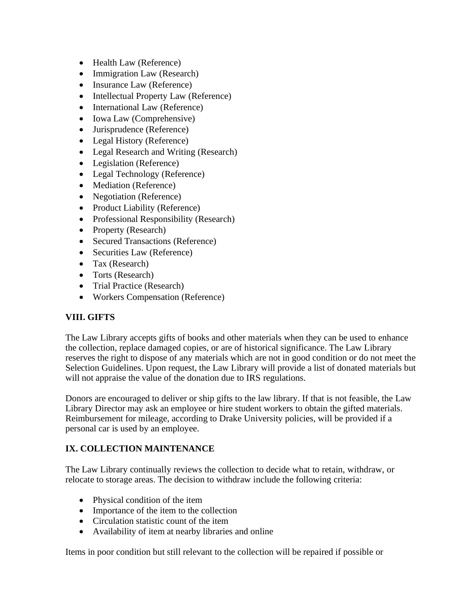- Health Law (Reference)
- Immigration Law (Research)
- Insurance Law (Reference)
- Intellectual Property Law (Reference)
- International Law (Reference)
- Iowa Law (Comprehensive)
- Jurisprudence (Reference)
- Legal History (Reference)
- Legal Research and Writing (Research)
- Legislation (Reference)
- Legal Technology (Reference)
- Mediation (Reference)
- Negotiation (Reference)
- Product Liability (Reference)
- Professional Responsibility (Research)
- Property (Research)
- Secured Transactions (Reference)
- Securities Law (Reference)
- Tax (Research)
- Torts (Research)
- Trial Practice (Research)
- Workers Compensation (Reference)

# **VIII. GIFTS**

The Law Library accepts gifts of books and other materials when they can be used to enhance the collection, replace damaged copies, or are of historical significance. The Law Library reserves the right to dispose of any materials which are not in good condition or do not meet the Selection Guidelines. Upon request, the Law Library will provide a list of donated materials but will not appraise the value of the donation due to IRS regulations.

Donors are encouraged to deliver or ship gifts to the law library. If that is not feasible, the Law Library Director may ask an employee or hire student workers to obtain the gifted materials. Reimbursement for mileage, according to Drake University policies, will be provided if a personal car is used by an employee.

# **IX. COLLECTION MAINTENANCE**

The Law Library continually reviews the collection to decide what to retain, withdraw, or relocate to storage areas. The decision to withdraw include the following criteria:

- Physical condition of the item
- Importance of the item to the collection
- Circulation statistic count of the item
- Availability of item at nearby libraries and online

Items in poor condition but still relevant to the collection will be repaired if possible or